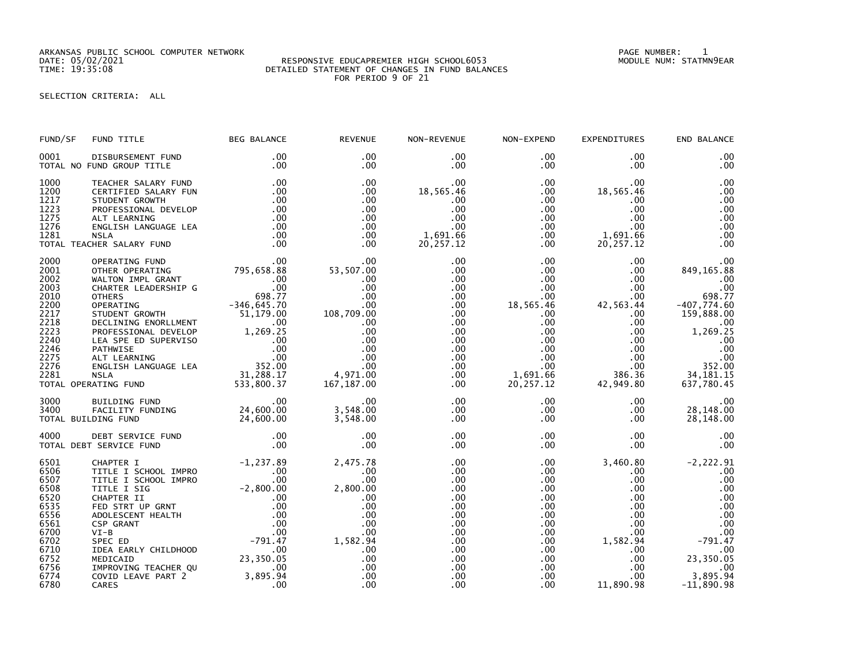ARKANSAS PUBLIC SCHOOL COMPUTER NETWORK PAGE NUMBER: 1

## DATE: 05/02/2021 RESPONSIVE EDUCAPREMIER HIGH SCHOOL6053 MODULE NUM: STATMN9EAR TIME: 19:35:08 DETAILED STATEMENT OF CHANGES IN FUND BALANCES FOR PERIOD 9 OF 21

SELECTION CRITERIA: ALL

| FUND/SF                                                                                                              | FUND TITLE                                                                                                                                                                                                                                                                                                                                            | <b>BEG BALANCE</b>                                                                                                                                                                                                                                | <b>REVENUE</b>                                                                                                                      | NON-REVENUE                                                                                                                                                                         | NON-EXPEND                                                                                                                                                                                       | <b>EXPENDITURES</b>                                                                                                                                                                               | END BALANCE                                                                                                                                                |
|----------------------------------------------------------------------------------------------------------------------|-------------------------------------------------------------------------------------------------------------------------------------------------------------------------------------------------------------------------------------------------------------------------------------------------------------------------------------------------------|---------------------------------------------------------------------------------------------------------------------------------------------------------------------------------------------------------------------------------------------------|-------------------------------------------------------------------------------------------------------------------------------------|-------------------------------------------------------------------------------------------------------------------------------------------------------------------------------------|--------------------------------------------------------------------------------------------------------------------------------------------------------------------------------------------------|---------------------------------------------------------------------------------------------------------------------------------------------------------------------------------------------------|------------------------------------------------------------------------------------------------------------------------------------------------------------|
| 0001                                                                                                                 | DISBURSEMENT FUND<br>TOTAL NO FUND GROUP TITLE                                                                                                                                                                                                                                                                                                        | $.00 \,$<br>.00                                                                                                                                                                                                                                   | .00<br>.00                                                                                                                          | $.00 \,$<br>$.00 \,$                                                                                                                                                                | $.00 \,$<br>.00                                                                                                                                                                                  | .00<br>$.00 \times$                                                                                                                                                                               | .00<br>.00                                                                                                                                                 |
| 1000<br>1200<br>1217<br>1223<br>1275<br>1276<br>1281                                                                 | TEACHER SALARY FUND<br>CERTIFIED SALARY FUN<br>STUDENT GROWTH<br>PROFESSIONAL DEVELOP<br>ALT LEARNING<br>ENGLISH LANGUAGE LEA<br><b>NSLA</b><br>TOTAL TEACHER SALARY FUND                                                                                                                                                                             | .00<br>.00<br>.00<br>.00<br>.00<br>.00<br>.00<br>.00                                                                                                                                                                                              | $.00 \,$<br>$.00 \,$<br>.00<br>$.00 \,$<br>$.00 \,$<br>$.00 \times$<br>.00<br>$.00 \times$                                          | $.00 \,$<br>18,565.46<br>.00<br>.00<br>.00<br>.00<br>1,691.66<br>20, 257. 12                                                                                                        | $.00 \,$<br>.00<br>.00<br>$.00 \,$<br>$.00 \,$<br>$.00\,$<br>$.00 \,$<br>$.00 \,$                                                                                                                | $.00 \,$<br>18,565.46<br>.00<br>.00<br>$.00 \cdot$<br>$.00 \,$<br>1,691.66<br>20, 257.12                                                                                                          | .00<br>.00<br>.00<br>.00<br>.00<br>.00<br>.00<br>.00                                                                                                       |
| 2000<br>2001<br>2002<br>2003<br>2010<br>2200<br>2217<br>2218<br>2223<br>2240<br>2246<br>2275<br>2276<br>2281         | OPERATING FUND<br>OTHER OPERATING<br>WALTON IMPL GRANT<br>WALTON TWPL GRANT<br>CHARTER LEADERSHIP G<br>OTHERS<br>OPERATING<br>OPERATING<br>TUDENT GROWTH<br>STUDENT GROWTH<br>STUDENT GROWTH<br>DECLINING ENGRILMENT<br>PROFESSIONAL DEVELOP<br>PROFESSIONAL DEVELOP<br>PATHWISE<br>CARTER ED SUPERVISO<br>ALT LEA<br>TOTAL OPERATING FUND            | $\begin{array}{cc}\n & .06 \\ \hline\n & .00\n\end{array}$<br>$\begin{array}{cc}\n & .00 \\ \text{4TP G} & .00\n\end{array}$<br>$\begin{array}{cc}\n & .00 \\  & .00\n\end{array}$<br>$\begin{array}{cc}\n & .698.77 \\  & .7645.70\n\end{array}$ | .00<br>53,507.00<br>.00<br>.00<br>.00<br>.00<br>108,709.00<br>$.00 \,$<br>.00<br>.00<br>.00<br>.00<br>.00<br>4,971.00<br>167,187.00 | $.00 \,$<br>.00<br>$.00 \,$<br>$.00 \,$<br>$.00 \,$<br>$.00 \,$<br>$.00 \,$<br>$.00 \,$<br>.00 <sub>1</sub><br>$.00 \,$<br>$.00 \,$<br>$.00 \,$<br>$.00 \,$<br>$.00 \,$<br>$.00 \,$ | $.00 \,$<br>.00<br>$.00 \,$<br>$.00 \,$<br>$.00 \,$<br>18,565.46<br>$.00 \,$<br>$.00 \,$<br>.00<br>$.00 \,$<br>$.00 \,$<br>$.00 \,$<br>$.00 \,$<br>1,691.66<br>20,257.12                         | $.00 \,$<br>$.00 \,$<br>$.00 \,$<br>$.00 \times$<br>$.00 \,$<br>42,563.44<br>$.00 \,$<br>$.00 \,$<br>$.00 \,$<br>$.00 \,$<br>$.00 \,$<br>$.00 \,$<br>$.00 \,$<br>386.36<br>42,949.80              | .00<br>849, 165.88<br>.00<br>.00<br>698.77<br>$-407,774.60$<br>159,888.00<br>.00<br>1,269.25<br>.00<br>.00<br>$.00$<br>352.00<br>34, 181. 15<br>637,780.45 |
| 3000<br>3400                                                                                                         | BUILDING FUND<br>FACILITY FUNDING 24,600.00<br>DING FUND 24,600.00<br>TOTAL BUILDING FUND                                                                                                                                                                                                                                                             | $\overline{\phantom{0}}$ .00                                                                                                                                                                                                                      | .00<br>3,548.00<br>3,548.00                                                                                                         | $.00 \,$<br>$.00 \,$<br>$.00 \,$                                                                                                                                                    | $.00 \,$<br>$.00 \,$<br>$.00 \,$                                                                                                                                                                 | $.00 \,$<br>$.00 \,$<br>$.00 \,$                                                                                                                                                                  | .00<br>28,148.00<br>28,148.00                                                                                                                              |
| 4000                                                                                                                 | DEBT SERVICE FUND<br>T SERVICE FUND<br>TOTAL DEBT SERVICE FUND                                                                                                                                                                                                                                                                                        | .00<br>.00                                                                                                                                                                                                                                        | .00<br>.00                                                                                                                          | $.00 \,$<br>$.00 \,$                                                                                                                                                                | $.00 \,$<br>.00                                                                                                                                                                                  | $.00 \,$<br>$.00 \,$                                                                                                                                                                              | .00<br>.00                                                                                                                                                 |
| 6501<br>6506<br>6507<br>6508<br>6520<br>6535<br>6556<br>6561<br>6700<br>6702<br>6710<br>6752<br>6756<br>6774<br>6780 | -1,237.89<br>TITLE I SCHOOL IMPRO<br>TITLE I SCHOOL IMPRO<br>TITLE I SCHOOL IMPRO<br>TITLE I SIG<br>-2,800.00<br>CHAPTER II<br>FED STRT UP GRNT<br>ADOLESCENT HEALTH<br>CSP GRANT<br>OO CP GRANT<br>OO CP GRANT<br>OO CP GRANT<br>OO CP GRANT<br>OO CP GRA<br>IDEA EARLY CHILDHOOD<br>MEDICAID<br>IMPROVING TEACHER QU<br>COVID LEAVE PART 2<br>CARES | .00<br>23,350.05<br>$.00 \,$<br>3,895.94<br>.00                                                                                                                                                                                                   | 2,475.78<br>.00<br>.00<br>2,800.00<br>.00<br>.00<br>.00<br>.00<br>$.00 \,$<br>1,582.94<br>.00<br>.00<br>.00<br>.00<br>.00           | $.00 \,$<br>$.00 \,$<br>.00<br>$.00 \,$<br>$.00 \,$<br>.00<br>$.00 \,$<br>$.00 \,$<br>$.00 \,$<br>.00<br>$.00 \,$<br>$.00 \,$<br>.00 <sub>1</sub><br>.00<br>.00                     | $.00 \,$<br>$.00 \,$<br>$.00 \,$<br>$.00 \,$<br>$.00 \cdot$<br>.00 <sub>1</sub><br>$.00 \,$<br>.00<br>$.00 \,$<br>$.00 \,$<br>$.00 \,$<br>$.00\,$<br>.00 <sub>1</sub><br>.00<br>.00 <sub>1</sub> | 3,460.80<br>$.00 \,$<br>$.00 \,$<br>$.00 \,$<br>$.00 \,$<br>$.00 \,$<br>$.00 \times$<br>$.00 \,$<br>.00 <sub>1</sub><br>1,582.94<br>$.00 \,$<br>$.00 \,$<br>$.00 \times$<br>$.00 \,$<br>11,890.98 | $-2, 222.91$<br>.00<br>.00<br>.00<br>.00<br>.00<br>.00<br>.00<br>.00<br>$-791.47$<br>.00<br>23,350.05<br>.00<br>3,895.94<br>$-11,890.98$                   |